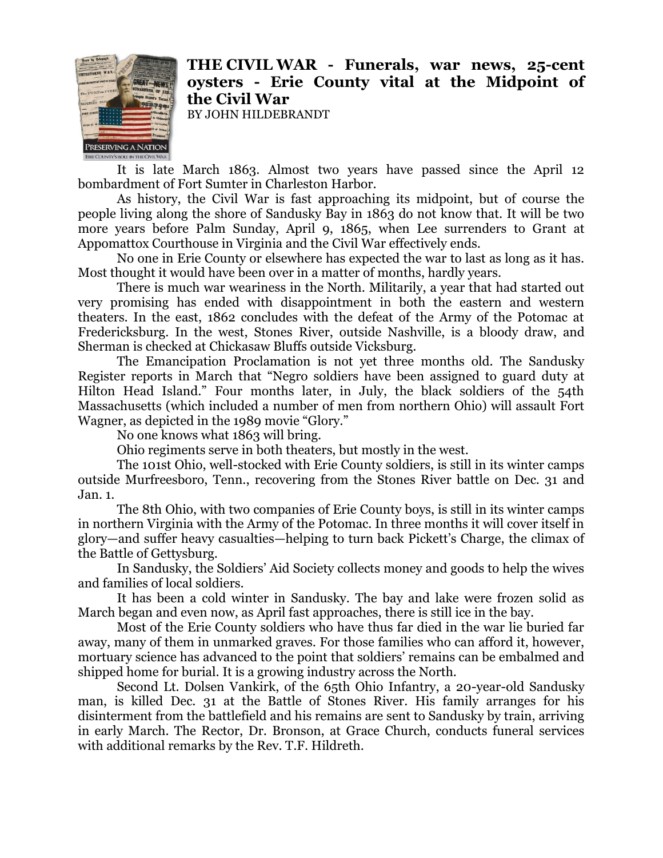

## **THE CIVIL WAR - Funerals, war news, 25-cent oysters - Erie County vital at the Midpoint of the Civil War**

BY JOHN HILDEBRANDT

It is late March 1863. Almost two years have passed since the April 12 bombardment of Fort Sumter in Charleston Harbor.

As history, the Civil War is fast approaching its midpoint, but of course the people living along the shore of Sandusky Bay in 1863 do not know that. It will be two more years before Palm Sunday, April 9, 1865, when Lee surrenders to Grant at Appomattox Courthouse in Virginia and the Civil War effectively ends.

No one in Erie County or elsewhere has expected the war to last as long as it has. Most thought it would have been over in a matter of months, hardly years.

There is much war weariness in the North. Militarily, a year that had started out very promising has ended with disappointment in both the eastern and western theaters. In the east, 1862 concludes with the defeat of the Army of the Potomac at Fredericksburg. In the west, Stones River, outside Nashville, is a bloody draw, and Sherman is checked at Chickasaw Bluffs outside Vicksburg.

The Emancipation Proclamation is not yet three months old. The Sandusky Register reports in March that "Negro soldiers have been assigned to guard duty at Hilton Head Island." Four months later, in July, the black soldiers of the 54th Massachusetts (which included a number of men from northern Ohio) will assault Fort Wagner, as depicted in the 1989 movie "Glory."

No one knows what 1863 will bring.

Ohio regiments serve in both theaters, but mostly in the west.

The 101st Ohio, well-stocked with Erie County soldiers, is still in its winter camps outside Murfreesboro, Tenn., recovering from the Stones River battle on Dec. 31 and Jan. 1.

The 8th Ohio, with two companies of Erie County boys, is still in its winter camps in northern Virginia with the Army of the Potomac. In three months it will cover itself in glory—and suffer heavy casualties—helping to turn back Pickett's Charge, the climax of the Battle of Gettysburg.

In Sandusky, the Soldiers' Aid Society collects money and goods to help the wives and families of local soldiers.

It has been a cold winter in Sandusky. The bay and lake were frozen solid as March began and even now, as April fast approaches, there is still ice in the bay.

Most of the Erie County soldiers who have thus far died in the war lie buried far away, many of them in unmarked graves. For those families who can afford it, however, mortuary science has advanced to the point that soldiers' remains can be embalmed and shipped home for burial. It is a growing industry across the North.

Second Lt. Dolsen Vankirk, of the 65th Ohio Infantry, a 20-year-old Sandusky man, is killed Dec. 31 at the Battle of Stones River. His family arranges for his disinterment from the battlefield and his remains are sent to Sandusky by train, arriving in early March. The Rector, Dr. Bronson, at Grace Church, conducts funeral services with additional remarks by the Rev. T.F. Hildreth.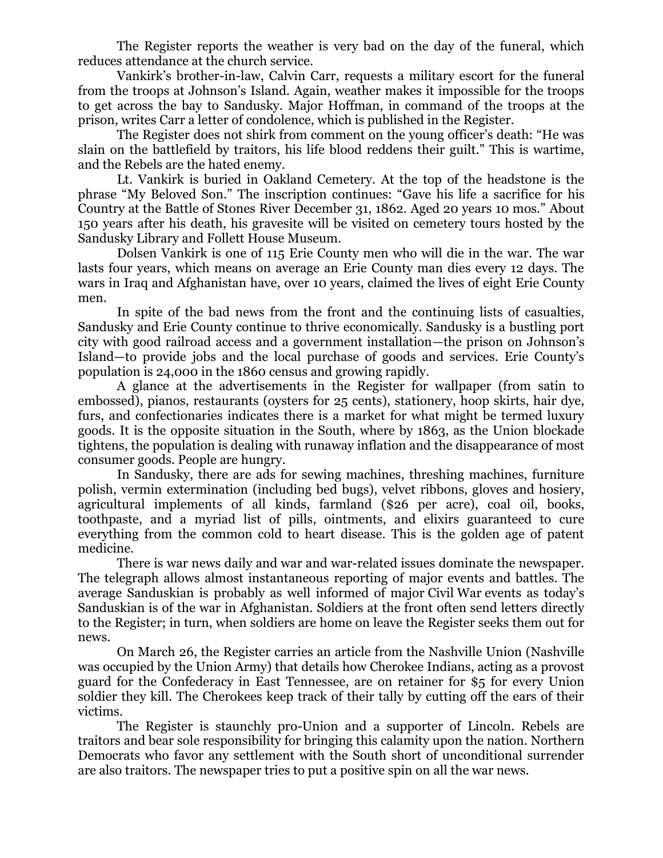The Register reports the weather is very bad on the day of the funeral, which reduces attendance at the church service.

Vankirk's brother-in-law, Calvin Carr, requests a military escort for the funeral from the troops at Johnson's Island. Again, weather makes it impossible for the troops to get across the bay to Sandusky. Major Hoffman, in command of the troops at the prison, writes Carr a letter of condolence, which is published in the Register.

The Register does not shirk from comment on the young officer's death: "He was slain on the battlefield by traitors, his life blood reddens their guilt." This is wartime, and the Rebels are the hated enemy.

Lt. Vankirk is buried in Oakland Cemetery. At the top of the headstone is the phrase "My Beloved Son." The inscription continues: "Gave his life a sacrifice for his Country at the Battle of Stones River December 31, 1862. Aged 20 years 10 mos." About 150 years after his death, his gravesite will be visited on cemetery tours hosted by the Sandusky Library and Follett House Museum.

Dolsen Vankirk is one of 115 Erie County men who will die in the war. The war lasts four years, which means on average an Erie County man dies every 12 days. The wars in Iraq and Afghanistan have, over 10 years, claimed the lives of eight Erie County men.

In spite of the bad news from the front and the continuing lists of casualties, Sandusky and Erie County continue to thrive economically. Sandusky is a bustling port city with good railroad access and a government installation—the prison on Johnson's Island—to provide jobs and the local purchase of goods and services. Erie County's population is 24,000 in the 1860 census and growing rapidly.

A glance at the advertisements in the Register for wallpaper (from satin to embossed), pianos, restaurants (oysters for 25 cents), stationery, hoop skirts, hair dye, furs, and confectionaries indicates there is a market for what might be termed luxury goods. It is the opposite situation in the South, where by 1863, as the Union blockade tightens, the population is dealing with runaway inflation and the disappearance of most consumer goods. People are hungry.

In Sandusky, there are ads for sewing machines, threshing machines, furniture polish, vermin extermination (including bed bugs), velvet ribbons, gloves and hosiery, agricultural implements of all kinds, farmland (\$26 per acre), coal oil, books, toothpaste, and a myriad list of pills, ointments, and elixirs guaranteed to cure everything from the common cold to heart disease. This is the golden age of patent medicine.

There is war news daily and war and war-related issues dominate the newspaper. The telegraph allows almost instantaneous reporting of major events and battles. The average Sanduskian is probably as well informed of major Civil War events as today's Sanduskian is of the war in Afghanistan. Soldiers at the front often send letters directly to the Register; in turn, when soldiers are home on leave the Register seeks them out for news.

On March 26, the Register carries an article from the Nashville Union (Nashville was occupied by the Union Army) that details how Cherokee Indians, acting as a provost guard for the Confederacy in East Tennessee, are on retainer for \$5 for every Union soldier they kill. The Cherokees keep track of their tally by cutting off the ears of their victims.

The Register is staunchly pro-Union and a supporter of Lincoln. Rebels are traitors and bear sole responsibility for bringing this calamity upon the nation. Northern Democrats who favor any settlement with the South short of unconditional surrender are also traitors. The newspaper tries to put a positive spin on all the war news.